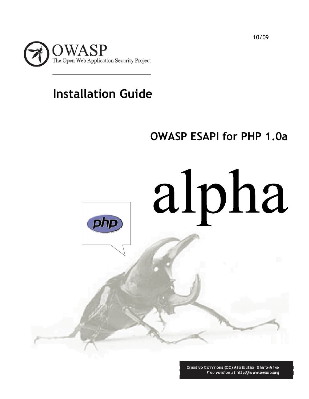

# **Installation Guide**

# **OWASP ESAPI for PHP 1.0a**



Creative Commons (CC) Attribution Share-Alike Free version at http://www.owasp.org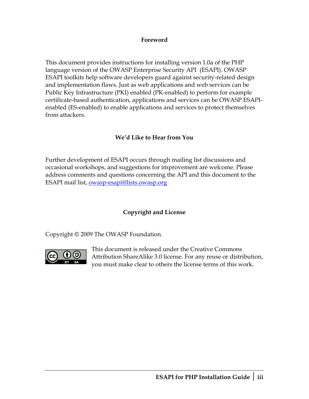#### **Foreword**

This document provides instructions for installing version 1.0a of the PHP language version of the OWASP Enterprise Security API (ESAPI). OWASP ESAPI toolkits help software developers guard against security-related design and implementation flaws. Just as web applications and web services can be Public Key Infrastructure (PKI) enabled (PK-enabled) to perform for example certificate-based authentication, applications and services can be OWASP ESAPIenabled (ES-enabled) to enable applications and services to protect themselves from attackers.

### **We'd Like to Hear from You**

Further development of ESAPI occurs through mailing list discussions and occasional workshops, and suggestions for improvement are welcome. Please address comments and questions concerning the API and this document to the ESAPI mail list, [owasp-esapi@lists.owasp.org](mailto:owasp-esapi@lists.owasp.org)

### **Copyright and License**

Copyright © 2009 The OWASP Foundation.



This document is released under the Creative Commons Attribution ShareAlike 3.0 license. For any reuse or distribution, you must make clear to others the license terms of this work.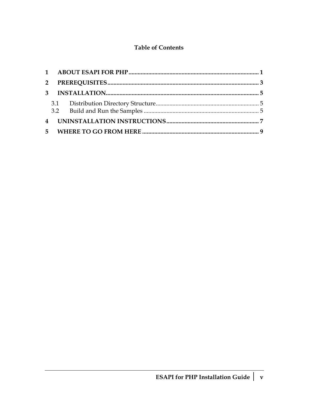### **Table of Contents**

| $\mathbf{3}$            |  |
|-------------------------|--|
|                         |  |
|                         |  |
| $\overline{\mathbf{4}}$ |  |
|                         |  |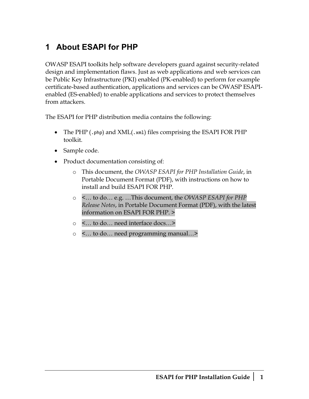# <span id="page-6-0"></span>**1 About ESAPI for PHP**

OWASP ESAPI toolkits help software developers guard against security-related design and implementation flaws. Just as web applications and web services can be Public Key Infrastructure (PKI) enabled (PK-enabled) to perform for example certificate-based authentication, applications and services can be OWASP ESAPIenabled (ES-enabled) to enable applications and services to protect themselves from attackers.

The ESAPI for PHP distribution media contains the following:

- The PHP (.php) and XML(.xml) files comprising the ESAPI FOR PHP toolkit.
- Sample code.
- Product documentation consisting of:
	- o This document, the *OWASP ESAPI for PHP Installation Guide*, in Portable Document Format (PDF), with instructions on how to install and build ESAPI FOR PHP.
	- o <… to do… e.g. …This document, the *OWASP ESAPI for PHP Release Notes*, in Portable Document Format (PDF), with the latest information on ESAPI FOR PHP. >
	- o <… to do… need interface docs…>
	- o <… to do… need programming manual…>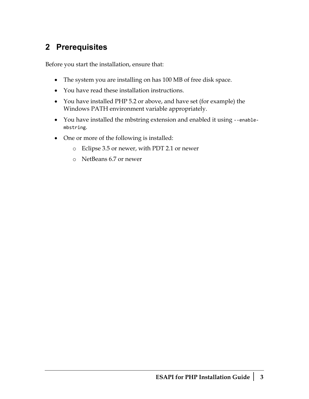## <span id="page-8-0"></span>**2 Prerequisites**

Before you start the installation, ensure that:

- The system you are installing on has 100 MB of free disk space.
- You have read these installation instructions.
- You have installed PHP 5.2 or above, and have set (for example) the Windows PATH environment variable appropriately.
- You have installed the mbstring extension and enabled it using ‐‐enable‐ mbstring.
- One or more of the following is installed:
	- o Eclipse 3.5 or newer, with PDT 2.1 or newer
	- o NetBeans 6.7 or newer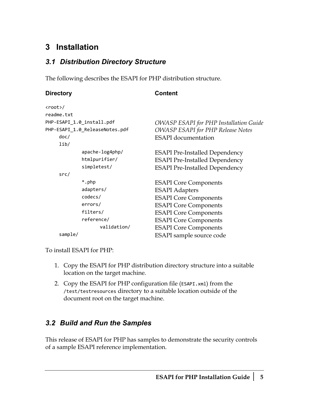## <span id="page-10-0"></span>**3 Installation**

### <span id="page-10-1"></span>*3.1 Distribution Directory Structure*

The following describes the ESAPI for PHP distribution structure.

| <b>Directory</b>          |                                | <b>Content</b>                                |  |
|---------------------------|--------------------------------|-----------------------------------------------|--|
| $\langle root \rangle /$  |                                |                                               |  |
| readme.txt                |                                |                                               |  |
| PHP-ESAPI_1.0_install.pdf |                                | <b>OWASP ESAPI</b> for PHP Installation Guide |  |
|                           | PHP-ESAPI_1.0_ReleaseNotes.pdf | <b>OWASP ESAPI for PHP Release Notes</b>      |  |
| doc/                      |                                | <b>ESAPI</b> documentation                    |  |
| lib/                      |                                |                                               |  |
|                           | apache-log4php/                | <b>ESAPI Pre-Installed Dependency</b>         |  |
|                           | htmlpurifier/                  | <b>ESAPI Pre-Installed Dependency</b>         |  |
|                           | simpletest/                    | <b>ESAPI Pre-Installed Dependency</b>         |  |
| src/                      |                                |                                               |  |
|                           | *.php                          | <b>ESAPI</b> Core Components                  |  |
|                           | adapters/                      | <b>ESAPI</b> Adapters                         |  |
|                           | codecs/                        | <b>ESAPI</b> Core Components                  |  |
|                           | errors/                        | <b>ESAPI</b> Core Components                  |  |
|                           | filters/                       | <b>ESAPI</b> Core Components                  |  |
|                           | reference/                     | <b>ESAPI</b> Core Components                  |  |
|                           | validation/                    | <b>ESAPI</b> Core Components                  |  |
| sample/                   |                                | ESAPI sample source code                      |  |

To install ESAPI for PHP:

- 1. Copy the ESAPI for PHP distribution directory structure into a suitable location on the target machine.
- 2. Copy the ESAPI for PHP configuration file (ESAPI.xml) from the /test/testresources directory to a suitable location outside of the document root on the target machine.

### <span id="page-10-2"></span>*3.2 Build and Run the Samples*

This release of ESAPI for PHP has samples to demonstrate the security controls of a sample ESAPI reference implementation.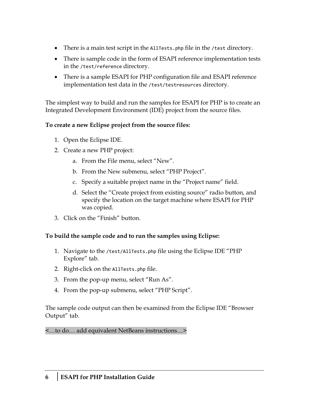- There is a main test script in the AllTests.php file in the /test directory.
- There is sample code in the form of ESAPI reference implementation tests in the /test/reference directory.
- There is a sample ESAPI for PHP configuration file and ESAPI reference implementation test data in the /test/testresources directory.

The simplest way to build and run the samples for ESAPI for PHP is to create an Integrated Development Environment (IDE) project from the source files.

### **To create a new Eclipse project from the source files:**

- 1. Open the Eclipse IDE.
- 2. Create a new PHP project:
	- a. From the File menu, select "New".
	- b. From the New submenu, select "PHP Project".
	- c. Specify a suitable project name in the "Project name" field.
	- d. Select the "Create project from existing source" radio button, and specify the location on the target machine where ESAPI for PHP was copied.
- 3. Click on the "Finish" button.

### **To build the sample code and to run the samples using Eclipse:**

- 1. Navigate to the /test/AllTests.php file using the Eclipse IDE "PHP Explore" tab.
- 2. Right-click on the AllTests.php file.
- 3. From the pop-up menu, select "Run As".
- 4. From the pop-up submenu, select "PHP Script".

The sample code output can then be examined from the Eclipse IDE "Browser Output" tab.

<…to do… add equivalent NetBeans instructions…>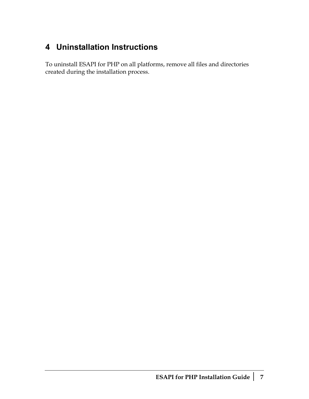# <span id="page-12-0"></span>**4 Uninstallation Instructions**

To uninstall ESAPI for PHP on all platforms, remove all files and directories created during the installation process.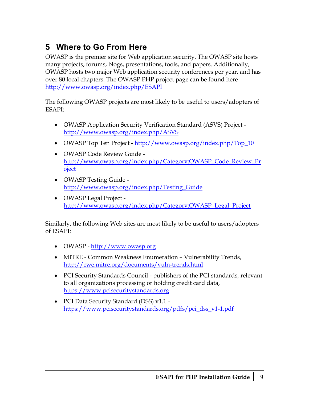# <span id="page-14-0"></span>**5 Where to Go From Here**

OWASP is the premier site for Web application security. The OWASP site hosts many projects, forums, blogs, presentations, tools, and papers. Additionally, OWASP hosts two major Web application security conferences per year, and has over 80 local chapters. The OWASP PHP project page can be found here <http://www.owasp.org/index.php/ESAPI>

The following OWASP projects are most likely to be useful to users/adopters of ESAPI:

- OWASP Application Security Verification Standard (ASVS) Project <http://www.owasp.org/index.php/ASVS>
- OWASP Top Ten Project [http://www.owasp.org/index.php/Top\\_10](http://www.owasp.org/index.php/Top_10)
- OWASP Code Review Guide [http://www.owasp.org/index.php/Category:OWASP\\_Code\\_Review\\_Pr](http://www.owasp.org/index.php/Category:OWASP_Code_Review_Project) [oject](http://www.owasp.org/index.php/Category:OWASP_Code_Review_Project)
- OWASP Testing Guide [http://www.owasp.org/index.php/Testing\\_Guide](http://www.owasp.org/index.php/Testing_Guide)
- OWASP Legal Project [http://www.owasp.org/index.php/Category:OWASP\\_Legal\\_Project](http://www.owasp.org/index.php/Category:OWASP_Legal_Project)

Similarly, the following Web sites are most likely to be useful to users/adopters of ESAPI:

- OWASP http://www.owasp.org
- MITRE Common Weakness Enumeration Vulnerability Trends, <http://cwe.mitre.org/documents/vuln-trends.html>
- PCI Security Standards Council publishers of the PCI standards, relevant to all organizations processing or holding credit card data, [https://www.pcisecuritystandards.org](https://www.pcisecuritystandards.org/)
- PCI Data Security Standard (DSS) v1.1 [https://www.pcisecuritystandards.org/pdfs/pci\\_dss\\_v1-1.pdf](https://www.pcisecuritystandards.org/pdfs/pci_dss_v1-1.pdf)